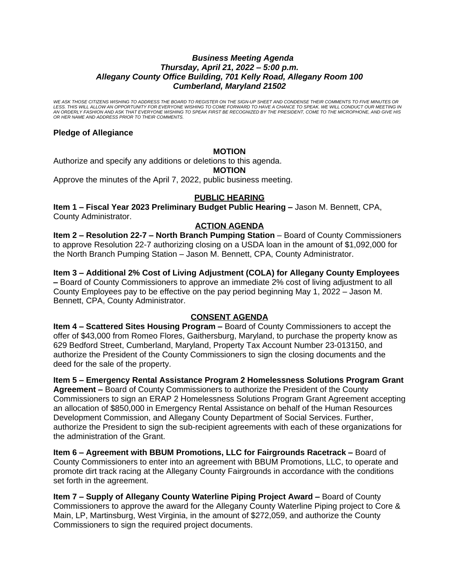## *Business Meeting Agenda Thursday, April 21, 2022 – 5:00 p.m. Allegany County Office Building, 701 Kelly Road, Allegany Room 100 Cumberland, Maryland 21502*

*WE ASK THOSE CITIZENS WISHING TO ADDRESS THE BOARD TO REGISTER ON THE SIGN-UP SHEET AND CONDENSE THEIR COMMENTS TO FIVE MINUTES OR*  LESS. THIS WILL ALLOW AN OPPORTUNITY FOR EVERYONE WISHING TO COME FORWARD TO HAVE A CHANCE TO SPEAK. WE WILL CONDUCT OUR MEETING IN<br>AN ORDERLY FASHION AND ASK THAT EVERYONE WISHING TO SPEAK FIRST BE RECOGNIZED BY THE PRESI *OR HER NAME AND ADDRESS PRIOR TO THEIR COMMENTS.*

## **Pledge of Allegiance**

## **MOTION**

Authorize and specify any additions or deletions to this agenda.

#### **MOTION**

Approve the minutes of the April 7, 2022, public business meeting.

# **PUBLIC HEARING**

**Item 1 - Fiscal Year 2023 Preliminary Budget Public Hearing - Jason M. Bennett, CPA,** County Administrator.

#### **ACTION AGENDA**

**Item 2 – Resolution 22-7 – North Branch Pumping Station** – Board of County Commissioners to approve Resolution 22-7 authorizing closing on a USDA loan in the amount of \$1,092,000 for the North Branch Pumping Station – Jason M. Bennett, CPA, County Administrator.

## **Item 3 – Additional 2% Cost of Living Adjustment (COLA) for Allegany County Employees**

**–** Board of County Commissioners to approve an immediate 2% cost of living adjustment to all County Employees pay to be effective on the pay period beginning May 1, 2022 – Jason M. Bennett, CPA, County Administrator.

# **CONSENT AGENDA**

**Item 4 – Scattered Sites Housing Program –** Board of County Commissioners to accept the offer of \$43,000 from Romeo Flores, Gaithersburg, Maryland, to purchase the property know as 629 Bedford Street, Cumberland, Maryland, Property Tax Account Number 23-013150, and authorize the President of the County Commissioners to sign the closing documents and the deed for the sale of the property.

**Item 5 – Emergency Rental Assistance Program 2 Homelessness Solutions Program Grant Agreement –** Board of County Commissioners to authorize the President of the County Commissioners to sign an ERAP 2 Homelessness Solutions Program Grant Agreement accepting an allocation of \$850,000 in Emergency Rental Assistance on behalf of the Human Resources Development Commission, and Allegany County Department of Social Services. Further, authorize the President to sign the sub-recipient agreements with each of these organizations for the administration of the Grant.

**Item 6 – Agreement with BBUM Promotions, LLC for Fairgrounds Racetrack –** Board of County Commissioners to enter into an agreement with BBUM Promotions, LLC, to operate and promote dirt track racing at the Allegany County Fairgrounds in accordance with the conditions set forth in the agreement.

**Item 7 – Supply of Allegany County Waterline Piping Project Award – Board of County** Commissioners to approve the award for the Allegany County Waterline Piping project to Core & Main, LP, Martinsburg, West Virginia, in the amount of \$272,059, and authorize the County Commissioners to sign the required project documents.